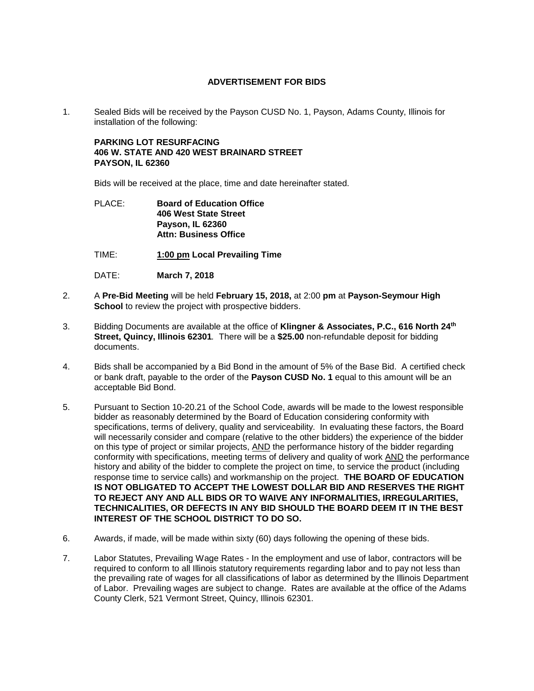## **ADVERTISEMENT FOR BIDS**

1. Sealed Bids will be received by the Payson CUSD No. 1, Payson, Adams County, Illinois for installation of the following:

**PARKING LOT RESURFACING 406 W. STATE AND 420 WEST BRAINARD STREET PAYSON, IL 62360**

Bids will be received at the place, time and date hereinafter stated.

## PLACE: **Board of Education Office 406 West State Street Payson, IL 62360 Attn: Business Office**

- TIME: **1:00 pm Local Prevailing Time**
- DATE: **March 7, 2018**
- 2. A **Pre-Bid Meeting** will be held **February 15, 2018,** at 2:00 **pm** at **Payson-Seymour High School** to review the project with prospective bidders.
- 3. Bidding Documents are available at the office of **Klingner & Associates, P.C., 616 North 24th Street, Quincy, Illinois 62301***.* There will be a **\$25.00** non-refundable deposit for bidding documents.
- 4. Bids shall be accompanied by a Bid Bond in the amount of 5% of the Base Bid. A certified check or bank draft, payable to the order of the **Payson CUSD No. 1** equal to this amount will be an acceptable Bid Bond.
- 5. Pursuant to Section 10-20.21 of the School Code, awards will be made to the lowest responsible bidder as reasonably determined by the Board of Education considering conformity with specifications, terms of delivery, quality and serviceability. In evaluating these factors, the Board will necessarily consider and compare (relative to the other bidders) the experience of the bidder on this type of project or similar projects, AND the performance history of the bidder regarding conformity with specifications, meeting terms of delivery and quality of work AND the performance history and ability of the bidder to complete the project on time, to service the product (including response time to service calls) and workmanship on the project. **THE BOARD OF EDUCATION IS NOT OBLIGATED TO ACCEPT THE LOWEST DOLLAR BID AND RESERVES THE RIGHT TO REJECT ANY AND ALL BIDS OR TO WAIVE ANY INFORMALITIES, IRREGULARITIES, TECHNICALITIES, OR DEFECTS IN ANY BID SHOULD THE BOARD DEEM IT IN THE BEST INTEREST OF THE SCHOOL DISTRICT TO DO SO.**
- 6. Awards, if made, will be made within sixty (60) days following the opening of these bids.
- 7. Labor Statutes, Prevailing Wage Rates In the employment and use of labor, contractors will be required to conform to all Illinois statutory requirements regarding labor and to pay not less than the prevailing rate of wages for all classifications of labor as determined by the Illinois Department of Labor. Prevailing wages are subject to change. Rates are available at the office of the Adams County Clerk, 521 Vermont Street, Quincy, Illinois 62301.